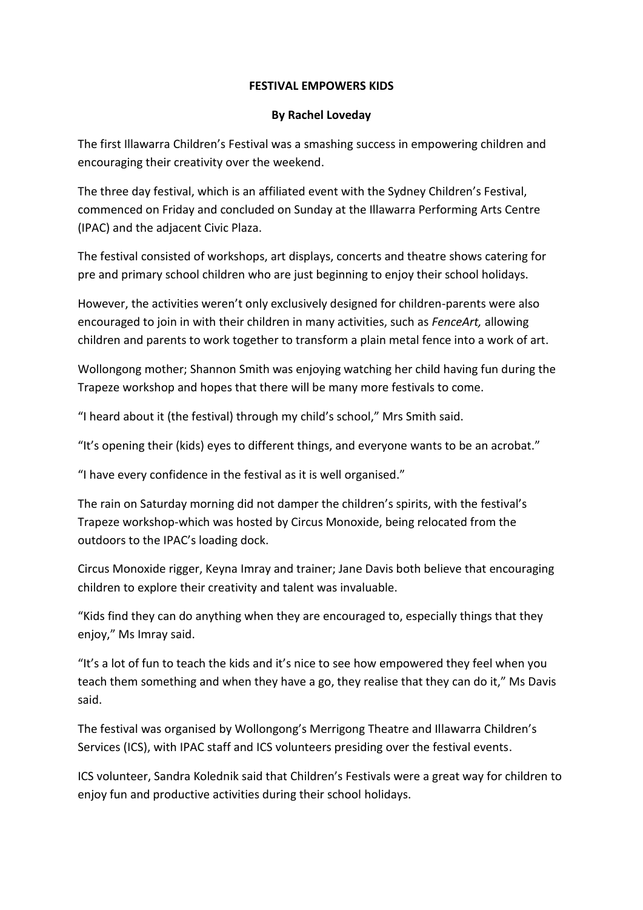## **FESTIVAL EMPOWERS KIDS**

## **By Rachel Loveday**

The first Illawarra Children's Festival was a smashing success in empowering children and encouraging their creativity over the weekend.

The three day festival, which is an affiliated event with the Sydney Children's Festival, commenced on Friday and concluded on Sunday at the Illawarra Performing Arts Centre (IPAC) and the adjacent Civic Plaza.

The festival consisted of workshops, art displays, concerts and theatre shows catering for pre and primary school children who are just beginning to enjoy their school holidays.

However, the activities weren't only exclusively designed for children-parents were also encouraged to join in with their children in many activities, such as *FenceArt,* allowing children and parents to work together to transform a plain metal fence into a work of art.

Wollongong mother; Shannon Smith was enjoying watching her child having fun during the Trapeze workshop and hopes that there will be many more festivals to come.

"I heard about it (the festival) through my child's school," Mrs Smith said.

"It's opening their (kids) eyes to different things, and everyone wants to be an acrobat."

"I have every confidence in the festival as it is well organised."

The rain on Saturday morning did not damper the children's spirits, with the festival's Trapeze workshop-which was hosted by Circus Monoxide, being relocated from the outdoors to the IPAC's loading dock.

Circus Monoxide rigger, Keyna Imray and trainer; Jane Davis both believe that encouraging children to explore their creativity and talent was invaluable.

"Kids find they can do anything when they are encouraged to, especially things that they enjoy," Ms Imray said.

"It's a lot of fun to teach the kids and it's nice to see how empowered they feel when you teach them something and when they have a go, they realise that they can do it," Ms Davis said.

The festival was organised by Wollongong's Merrigong Theatre and Illawarra Children's Services (ICS), with IPAC staff and ICS volunteers presiding over the festival events.

ICS volunteer, Sandra Kolednik said that Children's Festivals were a great way for children to enjoy fun and productive activities during their school holidays.